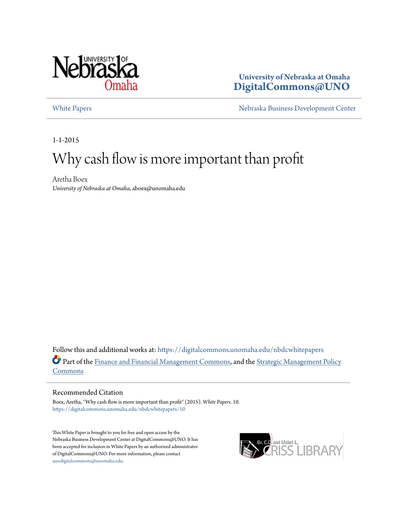

#### **University of Nebraska at Omaha [DigitalCommons@UNO](https://digitalcommons.unomaha.edu?utm_source=digitalcommons.unomaha.edu%2Fnbdcwhitepapers%2F10&utm_medium=PDF&utm_campaign=PDFCoverPages)**

[White Papers](https://digitalcommons.unomaha.edu/nbdcwhitepapers?utm_source=digitalcommons.unomaha.edu%2Fnbdcwhitepapers%2F10&utm_medium=PDF&utm_campaign=PDFCoverPages) **[Nebraska Business Development Center](https://digitalcommons.unomaha.edu/nbdc?utm_source=digitalcommons.unomaha.edu%2Fnbdcwhitepapers%2F10&utm_medium=PDF&utm_campaign=PDFCoverPages)** 

1-1-2015

# Why cash flow is more important than profit

Aretha Boex *University of Nebraska at Omaha*, aboex@unomaha.edu

Follow this and additional works at: [https://digitalcommons.unomaha.edu/nbdcwhitepapers](https://digitalcommons.unomaha.edu/nbdcwhitepapers?utm_source=digitalcommons.unomaha.edu%2Fnbdcwhitepapers%2F10&utm_medium=PDF&utm_campaign=PDFCoverPages) Part of the [Finance and Financial Management Commons](http://network.bepress.com/hgg/discipline/631?utm_source=digitalcommons.unomaha.edu%2Fnbdcwhitepapers%2F10&utm_medium=PDF&utm_campaign=PDFCoverPages), and the [Strategic Management Policy](http://network.bepress.com/hgg/discipline/642?utm_source=digitalcommons.unomaha.edu%2Fnbdcwhitepapers%2F10&utm_medium=PDF&utm_campaign=PDFCoverPages) [Commons](http://network.bepress.com/hgg/discipline/642?utm_source=digitalcommons.unomaha.edu%2Fnbdcwhitepapers%2F10&utm_medium=PDF&utm_campaign=PDFCoverPages)

#### Recommended Citation

Boex, Aretha, "Why cash flow is more important than profit" (2015). *White Papers*. 10. [https://digitalcommons.unomaha.edu/nbdcwhitepapers/10](https://digitalcommons.unomaha.edu/nbdcwhitepapers/10?utm_source=digitalcommons.unomaha.edu%2Fnbdcwhitepapers%2F10&utm_medium=PDF&utm_campaign=PDFCoverPages)

This White Paper is brought to you for free and open access by the Nebraska Business Development Center at DigitalCommons@UNO. It has been accepted for inclusion in White Papers by an authorized administrator of DigitalCommons@UNO. For more information, please contact [unodigitalcommons@unomaha.edu](mailto:unodigitalcommons@unomaha.edu).

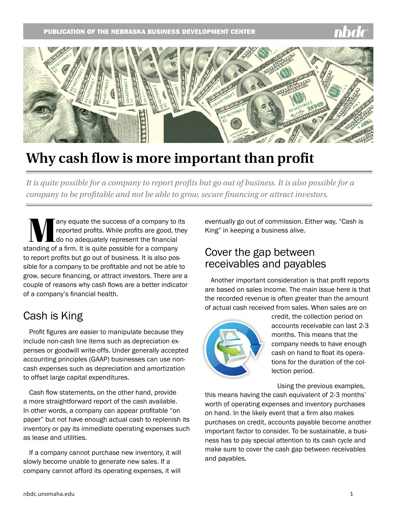

# **Why cash flow is more important than profit**

*It is quite possible for a company to report profits but go out of business. It is also possible for a company to be profitable and not be able to grow, secure financing or attract investors.*

**Many equate the success of a company to its**<br>reported profits. While profits are good, they<br>anding of a firm, it is quite possible for a company reported profits. While profits are good, they do no adequately represent the financial standing of a firm. It is quite possible for a company to report profits but go out of business. It is also possible for a company to be profitable and not be able to grow, secure financing, or attract investors. There are a couple of reasons why cash flows are a better indicator of a company's financial health.

## Cash is King

Profit figures are easier to manipulate because they include non-cash line items such as depreciation expenses or goodwill write-offs. Under generally accepted accounting principles (GAAP) businesses can use noncash expenses such as depreciation and amortization to offset large capital expenditures.

Cash flow statements, on the other hand, provide a more straightforward report of the cash available. In other words, a company can appear profitable "on paper" but not have enough actual cash to replenish its inventory or pay its immediate operating expenses such as lease and utilities.

If a company cannot purchase new inventory, it will slowly become unable to generate new sales. If a company cannot afford its operating expenses, it will

eventually go out of commission. Either way, "Cash is King" in keeping a business alive.

### Cover the gap between receivables and payables

Another important consideration is that profit reports are based on sales income. The main issue here is that the recorded revenue is often greater than the amount of actual cash received from sales. When sales are on



credit, the collection period on accounts receivable can last 2-3 months. This means that the company needs to have enough cash on hand to float its operations for the duration of the collection period.

Using the previous examples,

this means having the cash equivalent of 2-3 months' worth of operating expenses and inventory purchases on hand. In the likely event that a firm also makes purchases on credit, accounts payable become another important factor to consider. To be sustainable, a business has to pay special attention to its cash cycle and make sure to cover the cash gap between receivables and payables.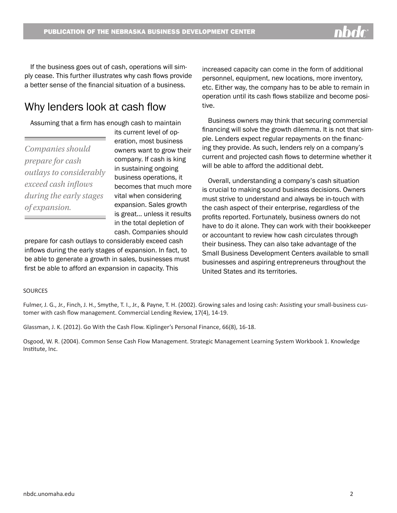If the business goes out of cash, operations will simply cease. This further illustrates why cash flows provide a better sense of the financial situation of a business.

## Why lenders look at cash flow

Assuming that a firm has enough cash to maintain

*Companies should prepare for cash outlays to considerably exceed cash inflows during the early stages of expansion.*

its current level of operation, most business owners want to grow their company. If cash is king in sustaining ongoing business operations, it becomes that much more vital when considering expansion. Sales growth is great… unless it results in the total depletion of cash. Companies should

prepare for cash outlays to considerably exceed cash inflows during the early stages of expansion. In fact, to be able to generate a growth in sales, businesses must first be able to afford an expansion in capacity. This

increased capacity can come in the form of additional personnel, equipment, new locations, more inventory, etc. Either way, the company has to be able to remain in operation until its cash flows stabilize and become positive.

Business owners may think that securing commercial financing will solve the growth dilemma. It is not that simple. Lenders expect regular repayments on the financing they provide. As such, lenders rely on a company's current and projected cash flows to determine whether it will be able to afford the additional debt.

Overall, understanding a company's cash situation is crucial to making sound business decisions. Owners must strive to understand and always be in-touch with the cash aspect of their enterprise, regardless of the profits reported. Fortunately, business owners do not have to do it alone. They can work with their bookkeeper or accountant to review how cash circulates through their business. They can also take advantage of the Small Business Development Centers available to small businesses and aspiring entrepreneurs throughout the United States and its territories.

#### **SOURCES**

Fulmer, J. G., Jr., Finch, J. H., Smythe, T. I., Jr., & Payne, T. H. (2002). Growing sales and losing cash: Assisting your small-business customer with cash flow management. Commercial Lending Review, 17(4), 14-19.

Glassman, J. K. (2012). Go With the Cash Flow. Kiplinger's Personal Finance, 66(8), 16-18.

Osgood, W. R. (2004). Common Sense Cash Flow Management. Strategic Management Learning System Workbook 1. Knowledge Institute, Inc.